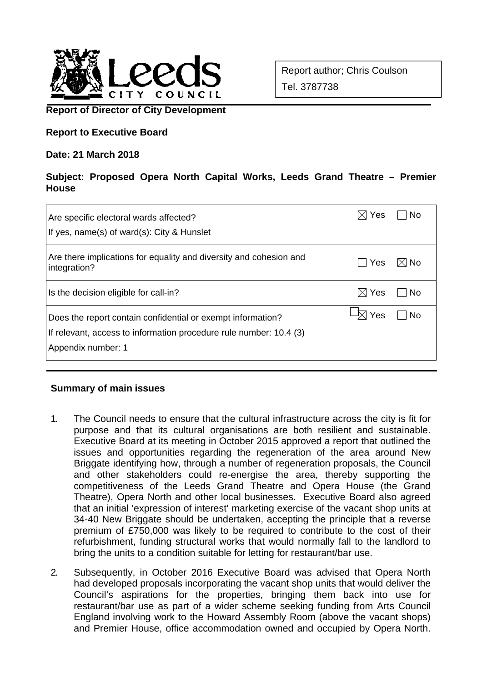

Report author; Chris Coulson Tel. 3787738

# **Report of Director of City Development**

# **Report to Executive Board**

#### **Date: 21 March 2018**

# **Subject: Proposed Opera North Capital Works, Leeds Grand Theatre – Premier House**

| Are specific electoral wards affected?<br>If yes, name(s) of ward(s): City & Hunslet                                                                    | <b>Yes</b>      | No             |
|---------------------------------------------------------------------------------------------------------------------------------------------------------|-----------------|----------------|
| Are there implications for equality and diversity and cohesion and<br>integration?                                                                      | Yes             | $\boxtimes$ No |
| Is the decision eligible for call-in?                                                                                                                   | $\boxtimes$ Yes | No.            |
| Does the report contain confidential or exempt information?<br>If relevant, access to information procedure rule number: 10.4 (3)<br>Appendix number: 1 | Yes             | No             |

#### **Summary of main issues**

- 1. The Council needs to ensure that the cultural infrastructure across the city is fit for purpose and that its cultural organisations are both resilient and sustainable. Executive Board at its meeting in October 2015 approved a report that outlined the issues and opportunities regarding the regeneration of the area around New Briggate identifying how, through a number of regeneration proposals, the Council and other stakeholders could re-energise the area, thereby supporting the competitiveness of the Leeds Grand Theatre and Opera House (the Grand Theatre), Opera North and other local businesses. Executive Board also agreed that an initial 'expression of interest' marketing exercise of the vacant shop units at 34-40 New Briggate should be undertaken, accepting the principle that a reverse premium of £750,000 was likely to be required to contribute to the cost of their refurbishment, funding structural works that would normally fall to the landlord to bring the units to a condition suitable for letting for restaurant/bar use.
- 2. Subsequently, in October 2016 Executive Board was advised that Opera North had developed proposals incorporating the vacant shop units that would deliver the Council's aspirations for the properties, bringing them back into use for restaurant/bar use as part of a wider scheme seeking funding from Arts Council England involving work to the Howard Assembly Room (above the vacant shops) and Premier House, office accommodation owned and occupied by Opera North.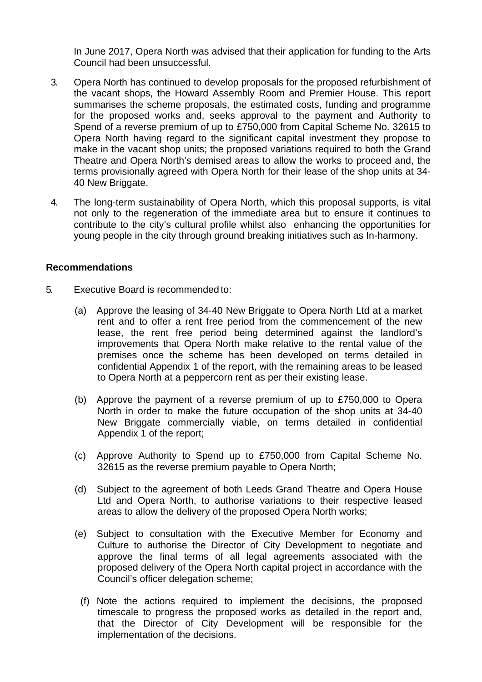In June 2017, Opera North was advised that their application for funding to the Arts Council had been unsuccessful.

- 3. Opera North has continued to develop proposals for the proposed refurbishment of the vacant shops, the Howard Assembly Room and Premier House. This report summarises the scheme proposals, the estimated costs, funding and programme for the proposed works and, seeks approval to the payment and Authority to Spend of a reverse premium of up to £750,000 from Capital Scheme No. 32615 to Opera North having regard to the significant capital investment they propose to make in the vacant shop units; the proposed variations required to both the Grand Theatre and Opera North's demised areas to allow the works to proceed and, the terms provisionally agreed with Opera North for their lease of the shop units at 34- 40 New Briggate.
- 4. The long-term sustainability of Opera North, which this proposal supports, is vital not only to the regeneration of the immediate area but to ensure it continues to contribute to the city's cultural profile whilst also enhancing the opportunities for young people in the city through ground breaking initiatives such as In-harmony.

#### **Recommendations**

- 5. Executive Board is recommended to:
	- (a) Approve the leasing of 34-40 New Briggate to Opera North Ltd at a market rent and to offer a rent free period from the commencement of the new lease, the rent free period being determined against the landlord's improvements that Opera North make relative to the rental value of the premises once the scheme has been developed on terms detailed in confidential Appendix 1 of the report, with the remaining areas to be leased to Opera North at a peppercorn rent as per their existing lease.
	- (b) Approve the payment of a reverse premium of up to £750,000 to Opera North in order to make the future occupation of the shop units at 34-40 New Briggate commercially viable, on terms detailed in confidential Appendix 1 of the report;
	- (c) Approve Authority to Spend up to £750,000 from Capital Scheme No. 32615 as the reverse premium payable to Opera North;
	- (d) Subject to the agreement of both Leeds Grand Theatre and Opera House Ltd and Opera North, to authorise variations to their respective leased areas to allow the delivery of the proposed Opera North works;
	- (e) Subject to consultation with the Executive Member for Economy and Culture to authorise the Director of City Development to negotiate and approve the final terms of all legal agreements associated with the proposed delivery of the Opera North capital project in accordance with the Council's officer delegation scheme;
		- (f) Note the actions required to implement the decisions, the proposed timescale to progress the proposed works as detailed in the report and, that the Director of City Development will be responsible for the implementation of the decisions.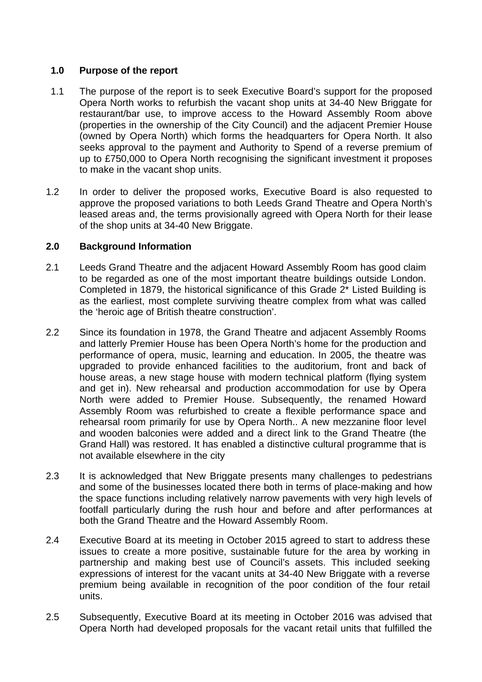# **1.0 Purpose of the report**

- 1.1 The purpose of the report is to seek Executive Board's support for the proposed Opera North works to refurbish the vacant shop units at 34-40 New Briggate for restaurant/bar use, to improve access to the Howard Assembly Room above (properties in the ownership of the City Council) and the adjacent Premier House (owned by Opera North) which forms the headquarters for Opera North. It also seeks approval to the payment and Authority to Spend of a reverse premium of up to £750,000 to Opera North recognising the significant investment it proposes to make in the vacant shop units.
- 1.2 In order to deliver the proposed works, Executive Board is also requested to approve the proposed variations to both Leeds Grand Theatre and Opera North's leased areas and, the terms provisionally agreed with Opera North for their lease of the shop units at 34-40 New Briggate.

# **2.0 Background Information**

- 2.1 Leeds Grand Theatre and the adjacent Howard Assembly Room has good claim to be regarded as one of the most important theatre buildings outside London. Completed in 1879, the historical significance of this Grade 2\* Listed Building is as the earliest, most complete surviving theatre complex from what was called the 'heroic age of British theatre construction'.
- 2.2 Since its foundation in 1978, the Grand Theatre and adjacent Assembly Rooms and latterly Premier House has been Opera North's home for the production and performance of opera, music, learning and education. In 2005, the theatre was upgraded to provide enhanced facilities to the auditorium, front and back of house areas, a new stage house with modern technical platform (flying system and get in). New rehearsal and production accommodation for use by Opera North were added to Premier House. Subsequently, the renamed Howard Assembly Room was refurbished to create a flexible performance space and rehearsal room primarily for use by Opera North.. A new mezzanine floor level and wooden balconies were added and a direct link to the Grand Theatre (the Grand Hall) was restored. It has enabled a distinctive cultural programme that is not available elsewhere in the city
- 2.3 It is acknowledged that New Briggate presents many challenges to pedestrians and some of the businesses located there both in terms of place-making and how the space functions including relatively narrow pavements with very high levels of footfall particularly during the rush hour and before and after performances at both the Grand Theatre and the Howard Assembly Room.
- 2.4 Executive Board at its meeting in October 2015 agreed to start to address these issues to create a more positive, sustainable future for the area by working in partnership and making best use of Council's assets. This included seeking expressions of interest for the vacant units at 34-40 New Briggate with a reverse premium being available in recognition of the poor condition of the four retail units.
- 2.5 Subsequently, Executive Board at its meeting in October 2016 was advised that Opera North had developed proposals for the vacant retail units that fulfilled the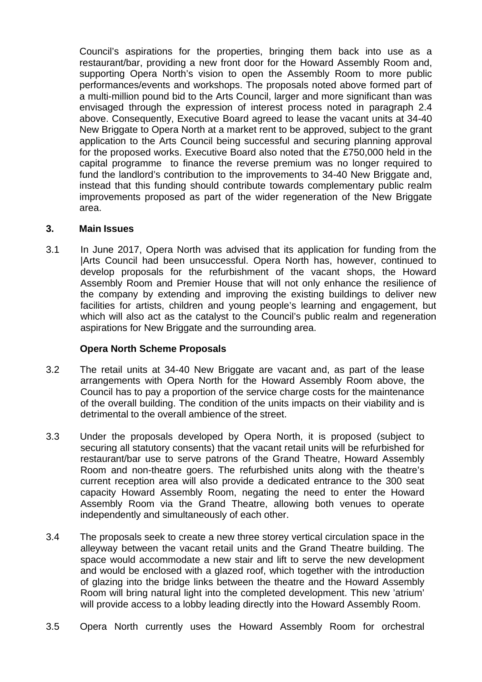Council's aspirations for the properties, bringing them back into use as a restaurant/bar, providing a new front door for the Howard Assembly Room and, supporting Opera North's vision to open the Assembly Room to more public performances/events and workshops. The proposals noted above formed part of a multi-million pound bid to the Arts Council, larger and more significant than was envisaged through the expression of interest process noted in paragraph 2.4 above. Consequently, Executive Board agreed to lease the vacant units at 34-40 New Briggate to Opera North at a market rent to be approved, subject to the grant application to the Arts Council being successful and securing planning approval for the proposed works. Executive Board also noted that the £750,000 held in the capital programme to finance the reverse premium was no longer required to fund the landlord's contribution to the improvements to 34-40 New Briggate and, instead that this funding should contribute towards complementary public realm improvements proposed as part of the wider regeneration of the New Briggate area.

#### **3. Main Issues**

3.1 In June 2017, Opera North was advised that its application for funding from the |Arts Council had been unsuccessful. Opera North has, however, continued to develop proposals for the refurbishment of the vacant shops, the Howard Assembly Room and Premier House that will not only enhance the resilience of the company by extending and improving the existing buildings to deliver new facilities for artists, children and young people's learning and engagement, but which will also act as the catalyst to the Council's public realm and regeneration aspirations for New Briggate and the surrounding area.

# **Opera North Scheme Proposals**

- 3.2 The retail units at 34-40 New Briggate are vacant and, as part of the lease arrangements with Opera North for the Howard Assembly Room above, the Council has to pay a proportion of the service charge costs for the maintenance of the overall building. The condition of the units impacts on their viability and is detrimental to the overall ambience of the street.
- 3.3 Under the proposals developed by Opera North, it is proposed (subject to securing all statutory consents) that the vacant retail units will be refurbished for restaurant/bar use to serve patrons of the Grand Theatre, Howard Assembly Room and non-theatre goers. The refurbished units along with the theatre's current reception area will also provide a dedicated entrance to the 300 seat capacity Howard Assembly Room, negating the need to enter the Howard Assembly Room via the Grand Theatre, allowing both venues to operate independently and simultaneously of each other.
- 3.4 The proposals seek to create a new three storey vertical circulation space in the alleyway between the vacant retail units and the Grand Theatre building. The space would accommodate a new stair and lift to serve the new development and would be enclosed with a glazed roof, which together with the introduction of glazing into the bridge links between the theatre and the Howard Assembly Room will bring natural light into the completed development. This new 'atrium' will provide access to a lobby leading directly into the Howard Assembly Room.
- 3.5 Opera North currently uses the Howard Assembly Room for orchestral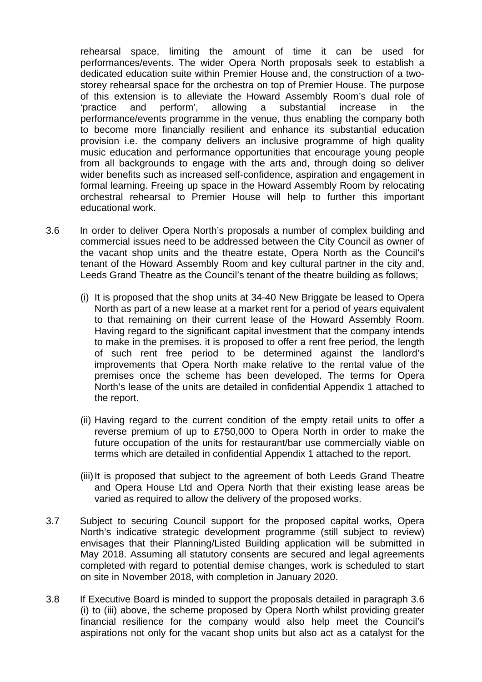rehearsal space, limiting the amount of time it can be used for performances/events. The wider Opera North proposals seek to establish a dedicated education suite within Premier House and, the construction of a twostorey rehearsal space for the orchestra on top of Premier House. The purpose of this extension is to alleviate the Howard Assembly Room's dual role of 'practice and perform', allowing a substantial increase in the performance/events programme in the venue, thus enabling the company both to become more financially resilient and enhance its substantial education provision i.e. the company delivers an inclusive programme of high quality music education and performance opportunities that encourage young people from all backgrounds to engage with the arts and, through doing so deliver wider benefits such as increased self-confidence, aspiration and engagement in formal learning. Freeing up space in the Howard Assembly Room by relocating orchestral rehearsal to Premier House will help to further this important educational work.

- 3.6 In order to deliver Opera North's proposals a number of complex building and commercial issues need to be addressed between the City Council as owner of the vacant shop units and the theatre estate, Opera North as the Council's tenant of the Howard Assembly Room and key cultural partner in the city and, Leeds Grand Theatre as the Council's tenant of the theatre building as follows;
	- (i) It is proposed that the shop units at 34-40 New Briggate be leased to Opera North as part of a new lease at a market rent for a period of years equivalent to that remaining on their current lease of the Howard Assembly Room. Having regard to the significant capital investment that the company intends to make in the premises. it is proposed to offer a rent free period, the length of such rent free period to be determined against the landlord's improvements that Opera North make relative to the rental value of the premises once the scheme has been developed. The terms for Opera North's lease of the units are detailed in confidential Appendix 1 attached to the report.
	- (ii) Having regard to the current condition of the empty retail units to offer a reverse premium of up to £750,000 to Opera North in order to make the future occupation of the units for restaurant/bar use commercially viable on terms which are detailed in confidential Appendix 1 attached to the report.
	- (iii) It is proposed that subject to the agreement of both Leeds Grand Theatre and Opera House Ltd and Opera North that their existing lease areas be varied as required to allow the delivery of the proposed works.
- 3.7 Subject to securing Council support for the proposed capital works, Opera North's indicative strategic development programme (still subject to review) envisages that their Planning/Listed Building application will be submitted in May 2018. Assuming all statutory consents are secured and legal agreements completed with regard to potential demise changes, work is scheduled to start on site in November 2018, with completion in January 2020.
- 3.8 If Executive Board is minded to support the proposals detailed in paragraph 3.6 (i) to (iii) above, the scheme proposed by Opera North whilst providing greater financial resilience for the company would also help meet the Council's aspirations not only for the vacant shop units but also act as a catalyst for the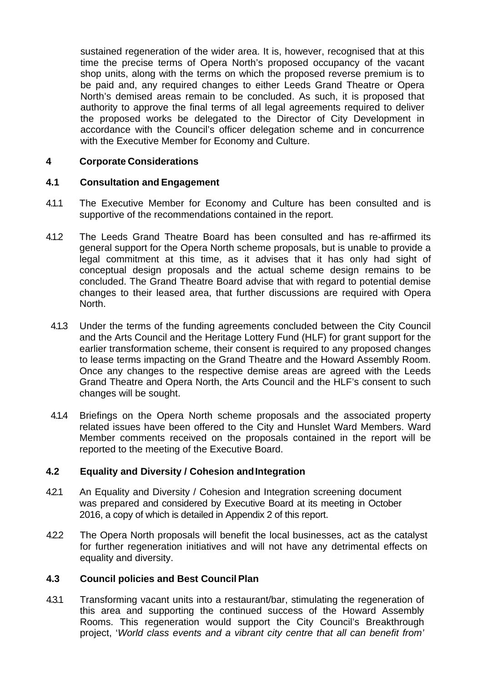sustained regeneration of the wider area. It is, however, recognised that at this time the precise terms of Opera North's proposed occupancy of the vacant shop units, along with the terms on which the proposed reverse premium is to be paid and, any required changes to either Leeds Grand Theatre or Opera North's demised areas remain to be concluded. As such, it is proposed that authority to approve the final terms of all legal agreements required to deliver the proposed works be delegated to the Director of City Development in accordance with the Council's officer delegation scheme and in concurrence with the Executive Member for Economy and Culture.

# **4 Corporate Considerations**

# **4.1 Consultation and Engagement**

- 4.1.1 The Executive Member for Economy and Culture has been consulted and is supportive of the recommendations contained in the report.
- 4.1.2 The Leeds Grand Theatre Board has been consulted and has re-affirmed its general support for the Opera North scheme proposals, but is unable to provide a legal commitment at this time, as it advises that it has only had sight of conceptual design proposals and the actual scheme design remains to be concluded. The Grand Theatre Board advise that with regard to potential demise changes to their leased area, that further discussions are required with Opera North.
- 4.1.3 Under the terms of the funding agreements concluded between the City Council and the Arts Council and the Heritage Lottery Fund (HLF) for grant support for the earlier transformation scheme, their consent is required to any proposed changes to lease terms impacting on the Grand Theatre and the Howard Assembly Room. Once any changes to the respective demise areas are agreed with the Leeds Grand Theatre and Opera North, the Arts Council and the HLF's consent to such changes will be sought.
- 4.1.4 Briefings on the Opera North scheme proposals and the associated property related issues have been offered to the City and Hunslet Ward Members. Ward Member comments received on the proposals contained in the report will be reported to the meeting of the Executive Board.

# **4.2 Equality and Diversity / Cohesion and Integration**

- 4.2.1 An Equality and Diversity / Cohesion and Integration screening document was prepared and considered by Executive Board at its meeting in October 2016, a copy of which is detailed in Appendix 2 of this report.
- 4.2.2 The Opera North proposals will benefit the local businesses, act as the catalyst for further regeneration initiatives and will not have any detrimental effects on equality and diversity.

# **4.3 Council policies and Best Council Plan**

4.3.1 Transforming vacant units into a restaurant/bar, stimulating the regeneration of this area and supporting the continued success of the Howard Assembly Rooms. This regeneration would support the City Council's Breakthrough project, '*World class events and a vibrant city centre that all can benefit from'*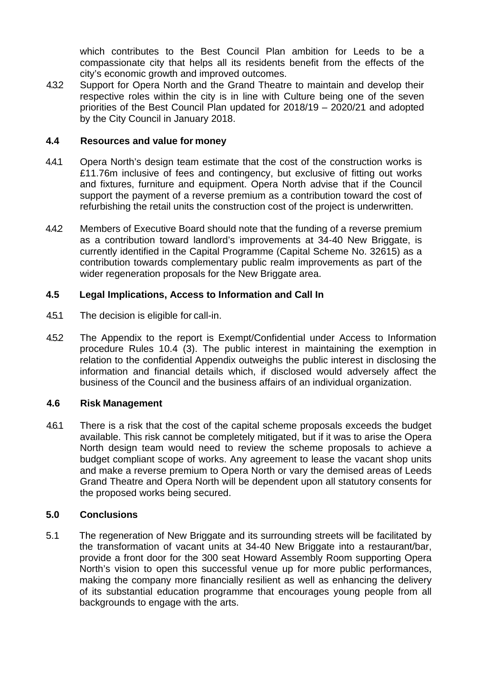which contributes to the Best Council Plan ambition for Leeds to be a compassionate city that helps all its residents benefit from the effects of the city's economic growth and improved outcomes.

4.3.2 Support for Opera North and the Grand Theatre to maintain and develop their respective roles within the city is in line with Culture being one of the seven priorities of the Best Council Plan updated for 2018/19 – 2020/21 and adopted by the City Council in January 2018.

# **4.4 Resources and value for money**

- 4.4.1 Opera North's design team estimate that the cost of the construction works is £11.76m inclusive of fees and contingency, but exclusive of fitting out works and fixtures, furniture and equipment. Opera North advise that if the Council support the payment of a reverse premium as a contribution toward the cost of refurbishing the retail units the construction cost of the project is underwritten.
- 4.4.2 Members of Executive Board should note that the funding of a reverse premium as a contribution toward landlord's improvements at 34-40 New Briggate, is currently identified in the Capital Programme (Capital Scheme No. 32615) as a contribution towards complementary public realm improvements as part of the wider regeneration proposals for the New Briggate area.

# **4.5 Legal Implications, Access to Information and Call In**

- 4.5.1 The decision is eligible for call-in.
- 4.5.2 The Appendix to the report is Exempt/Confidential under Access to Information procedure Rules 10.4 (3). The public interest in maintaining the exemption in relation to the confidential Appendix outweighs the public interest in disclosing the information and financial details which, if disclosed would adversely affect the business of the Council and the business affairs of an individual organization.

# **4.6 Risk Management**

4.6.1 There is a risk that the cost of the capital scheme proposals exceeds the budget available. This risk cannot be completely mitigated, but if it was to arise the Opera North design team would need to review the scheme proposals to achieve a budget compliant scope of works. Any agreement to lease the vacant shop units and make a reverse premium to Opera North or vary the demised areas of Leeds Grand Theatre and Opera North will be dependent upon all statutory consents for the proposed works being secured.

# **5.0 Conclusions**

5.1 The regeneration of New Briggate and its surrounding streets will be facilitated by the transformation of vacant units at 34-40 New Briggate into a restaurant/bar, provide a front door for the 300 seat Howard Assembly Room supporting Opera North's vision to open this successful venue up for more public performances, making the company more financially resilient as well as enhancing the delivery of its substantial education programme that encourages young people from all backgrounds to engage with the arts.